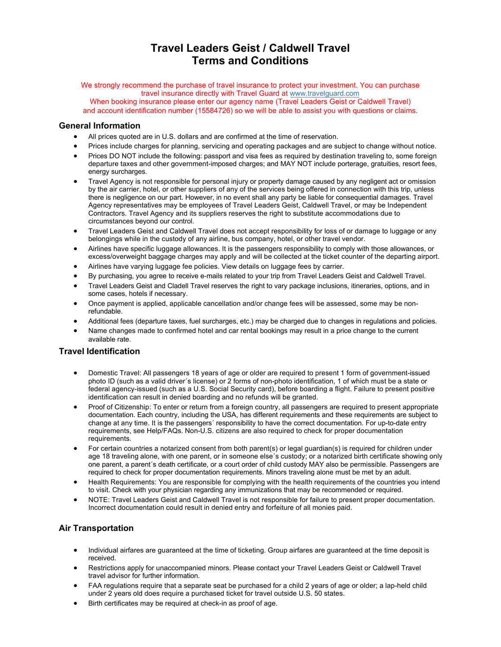# **Travel Leaders Geist / Caldwell Travel Terms and Conditions**

We strongly recommend the purchase of travel insurance to protect your investment. You can purchase travel insurance directly with Travel Guard at www.tra[velguard.com](http://www.travelguard.com/) When booking insurance please enter our agency name (Travel Leaders Geist or Caldwell Travel) and account identification number (15584726) so we will be able to assist you with questions or claims.

#### **General Information**

- All prices quoted are in U.S. dollars and are confirmed at the time of reservation.
- Prices include charges for planning, servicing and operating packages and are subject to change without notice.
- Prices DO NOT include the following: passport and visa fees as required by destination traveling to, some foreign departure taxes and other government-imposed charges; and MAY NOT include porterage, gratuities, resort fees, energy surcharges.
- Travel Agency is not responsible for personal injury or property damage caused by any negligent act or omission by the air carrier, hotel, or other suppliers of any of the services being offered in connection with this trip, unless there is negligence on our part. However, in no event shall any party be liable for consequential damages. Travel Agency representatives may be employees of Travel Leaders Geist, Caldwell Travel, or may be Independent Contractors. Travel Agency and its suppliers reserves the right to substitute accommodations due to circumstances beyond our control.
- Travel Leaders Geist and Caldwell Travel does not accept responsibility for loss of or damage to luggage or any belongings while in the custody of any airline, bus company, hotel, or other travel vendor.
- Airlines have specific luggage allowances. It is the passengers responsibility to comply with those allowances, or excess/overweight baggage charges may apply and will be collected at the ticket counter of the departing airport.
- Airlines have varying luggage fee policies. View details on luggage fees by carrier.
- By purchasing, you agree to receive e-mails related to your trip from Travel Leaders Geist and Caldwell Travel.
- Travel Leaders Geist and Cladell Travel reserves the right to vary package inclusions, itineraries, options, and in some cases, hotels if necessary.
- Once payment is applied, applicable cancellation and/or change fees will be assessed, some may be nonrefundable.
- Additional fees (departure taxes, fuel surcharges, etc.) may be charged due to changes in regulations and policies.
- Name changes made to confirmed hotel and car rental bookings may result in a price change to the current available rate.

#### **Travel Identification**

- Domestic Travel: All passengers 18 years of age or older are required to present 1 form of government-issued photo ID (such as a valid driver´s license) or 2 forms of non-photo identification, 1 of which must be a state or federal agency-issued (such as a U.S. Social Security card), before boarding a flight. Failure to present positive identification can result in denied boarding and no refunds will be granted.
- Proof of Citizenship: To enter or return from a foreign country, all passengers are required to present appropriate documentation. Each country, including the USA, has different requirements and these requirements are subject to change at any time. It is the passengers´ responsibility to have the correct documentation. For up-to-date entry requirements, see Help/FAQs. Non-U.S. citizens are also required to check for proper documentation requirements.
- For certain countries a notarized consent from both parent(s) or legal guardian(s) is required for children under age 18 traveling alone, with one parent, or in someone else´s custody; or a notarized birth certificate showing only one parent, a parent´s death certificate, or a court order of child custody MAY also be permissible. Passengers are required to check for proper documentation requirements. Minors traveling alone must be met by an adult.
- Health Requirements: You are responsible for complying with the health requirements of the countries you intend to visit. Check with your physician regarding any immunizations that may be recommended or required.
- NOTE: Travel Leaders Geist and Caldwell Travel is not responsible for failure to present proper documentation. Incorrect documentation could result in denied entry and forfeiture of all monies paid.

# **Air Transportation**

- Individual airfares are guaranteed at the time of ticketing. Group airfares are guaranteed at the time deposit is received.
- Restrictions apply for unaccompanied minors. Please contact your Travel Leaders Geist or Caldwell Travel travel advisor for further information.
- FAA regulations require that a separate seat be purchased for a child 2 years of age or older; a lap-held child under 2 years old does require a purchased ticket for travel outside U.S. 50 states.
- Birth certificates may be required at check-in as proof of age.